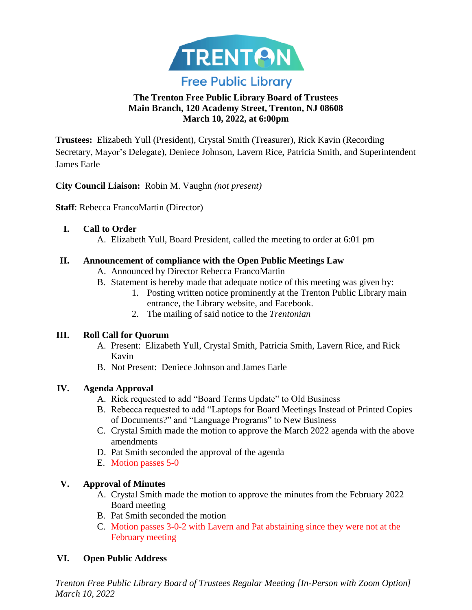

# **The Trenton Free Public Library Board of Trustees Main Branch, 120 Academy Street, Trenton, NJ 08608 March 10, 2022, at 6:00pm**

**Trustees:** Elizabeth Yull (President), Crystal Smith (Treasurer), Rick Kavin (Recording Secretary, Mayor's Delegate), Deniece Johnson, Lavern Rice, Patricia Smith, and Superintendent James Earle

**City Council Liaison:** Robin M. Vaughn *(not present)*

**Staff**: Rebecca FrancoMartin (Director)

## **I. Call to Order**

A. Elizabeth Yull, Board President, called the meeting to order at 6:01 pm

## **II. Announcement of compliance with the Open Public Meetings Law**

- A. Announced by Director Rebecca FrancoMartin
- B. Statement is hereby made that adequate notice of this meeting was given by:
	- 1. Posting written notice prominently at the Trenton Public Library main entrance, the Library website, and Facebook.
	- 2. The mailing of said notice to the *Trentonian*

### **III. Roll Call for Quorum**

- A. Present: Elizabeth Yull, Crystal Smith, Patricia Smith, Lavern Rice, and Rick Kavin
- B. Not Present: Deniece Johnson and James Earle

# **IV. Agenda Approval**

- A. Rick requested to add "Board Terms Update" to Old Business
- B. Rebecca requested to add "Laptops for Board Meetings Instead of Printed Copies of Documents?" and "Language Programs" to New Business
- C. Crystal Smith made the motion to approve the March 2022 agenda with the above amendments
- D. Pat Smith seconded the approval of the agenda
- E. Motion passes 5-0

# **V. Approval of Minutes**

- A. Crystal Smith made the motion to approve the minutes from the February 2022 Board meeting
- B. Pat Smith seconded the motion
- C. Motion passes 3-0-2 with Lavern and Pat abstaining since they were not at the February meeting

# **VI. Open Public Address**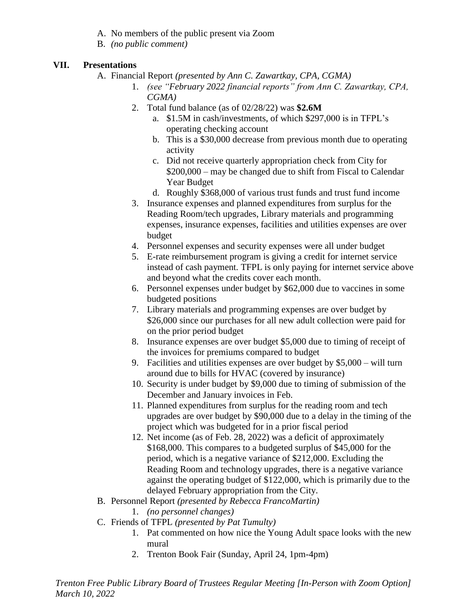- A. No members of the public present via Zoom
- B. *(no public comment)*

## **VII. Presentations**

- A. Financial Report *(presented by Ann C. Zawartkay, CPA, CGMA)*
	- 1. *(see "February 2022 financial reports" from Ann C. Zawartkay, CPA, CGMA)*
	- 2. Total fund balance (as of 02/28/22) was **\$2.6M**
		- a. \$1.5M in cash/investments, of which \$297,000 is in TFPL's operating checking account
		- b. This is a \$30,000 decrease from previous month due to operating activity
		- c. Did not receive quarterly appropriation check from City for \$200,000 – may be changed due to shift from Fiscal to Calendar Year Budget
		- d. Roughly \$368,000 of various trust funds and trust fund income
	- 3. Insurance expenses and planned expenditures from surplus for the Reading Room/tech upgrades, Library materials and programming expenses, insurance expenses, facilities and utilities expenses are over budget
	- 4. Personnel expenses and security expenses were all under budget
	- 5. E-rate reimbursement program is giving a credit for internet service instead of cash payment. TFPL is only paying for internet service above and beyond what the credits cover each month.
	- 6. Personnel expenses under budget by \$62,000 due to vaccines in some budgeted positions
	- 7. Library materials and programming expenses are over budget by \$26,000 since our purchases for all new adult collection were paid for on the prior period budget
	- 8. Insurance expenses are over budget \$5,000 due to timing of receipt of the invoices for premiums compared to budget
	- 9. Facilities and utilities expenses are over budget by \$5,000 will turn around due to bills for HVAC (covered by insurance)
	- 10. Security is under budget by \$9,000 due to timing of submission of the December and January invoices in Feb.
	- 11. Planned expenditures from surplus for the reading room and tech upgrades are over budget by \$90,000 due to a delay in the timing of the project which was budgeted for in a prior fiscal period
	- 12. Net income (as of Feb. 28, 2022) was a deficit of approximately \$168,000. This compares to a budgeted surplus of \$45,000 for the period, which is a negative variance of \$212,000. Excluding the Reading Room and technology upgrades, there is a negative variance against the operating budget of \$122,000, which is primarily due to the delayed February appropriation from the City.
- B. Personnel Report *(presented by Rebecca FrancoMartin)*
	- 1. *(no personnel changes)*
- C. Friends of TFPL *(presented by Pat Tumulty)*
	- 1. Pat commented on how nice the Young Adult space looks with the new mural
	- 2. Trenton Book Fair (Sunday, April 24, 1pm-4pm)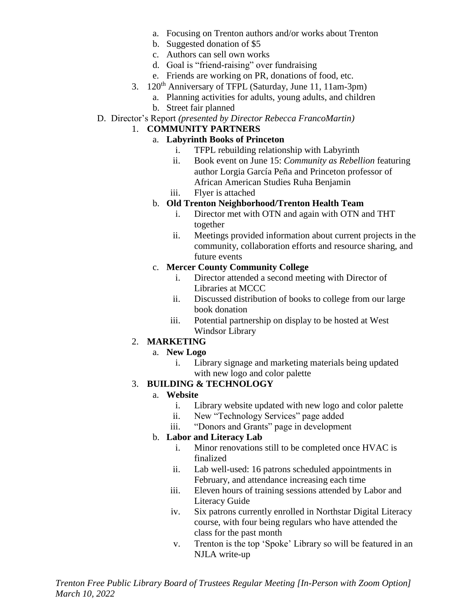- a. Focusing on Trenton authors and/or works about Trenton
- b. Suggested donation of \$5
- c. Authors can sell own works
- d. Goal is "friend-raising" over fundraising
- e. Friends are working on PR, donations of food, etc.
- 3. 120<sup>th</sup> Anniversary of TFPL (Saturday, June 11, 11am-3pm)
	- a. Planning activities for adults, young adults, and children
		- b. Street fair planned
- D. Director's Report *(presented by Director Rebecca FrancoMartin)*

### 1. **COMMUNITY PARTNERS**

### a. **Labyrinth Books of Princeton**

- i. TFPL rebuilding relationship with Labyrinth
- ii. Book event on June 15: *Community as Rebellion* featuring author Lorgia García Peña and Princeton professor of African American Studies Ruha Benjamin
- iii. Flyer is attached

### b. **Old Trenton Neighborhood/Trenton Health Team**

- i. Director met with OTN and again with OTN and THT together
- ii. Meetings provided information about current projects in the community, collaboration efforts and resource sharing, and future events

#### c. **Mercer County Community College**

- i. Director attended a second meeting with Director of Libraries at MCCC
- ii. Discussed distribution of books to college from our large book donation
- iii. Potential partnership on display to be hosted at West Windsor Library

### 2. **MARKETING**

- a. **New Logo**
	- i. Library signage and marketing materials being updated with new logo and color palette

### 3. **BUILDING & TECHNOLOGY**

### a. **Website**

- i. Library website updated with new logo and color palette
- ii. New "Technology Services" page added
- iii. "Donors and Grants" page in development

### b. **Labor and Literacy Lab**

- i. Minor renovations still to be completed once HVAC is finalized
- ii. Lab well-used: 16 patrons scheduled appointments in February, and attendance increasing each time
- iii. Eleven hours of training sessions attended by Labor and Literacy Guide
- iv. Six patrons currently enrolled in Northstar Digital Literacy course, with four being regulars who have attended the class for the past month
- v. Trenton is the top 'Spoke' Library so will be featured in an NJLA write-up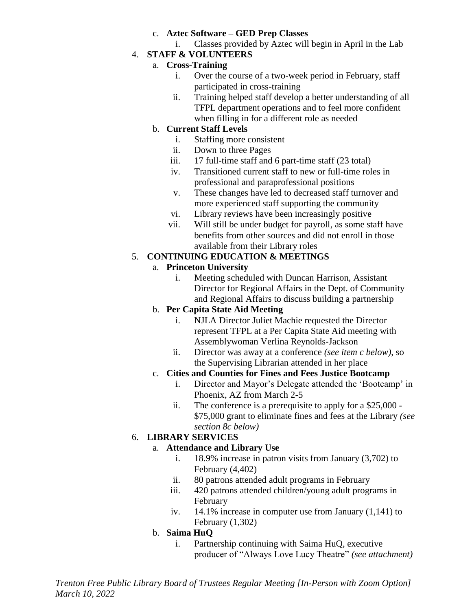## c. **Aztec Software – GED Prep Classes**

i. Classes provided by Aztec will begin in April in the Lab

# 4. **STAFF & VOLUNTEERS**

## a. **Cross-Training**

- i. Over the course of a two-week period in February, staff participated in cross-training
- ii. Training helped staff develop a better understanding of all TFPL department operations and to feel more confident when filling in for a different role as needed

# b. **Current Staff Levels**

- i. Staffing more consistent
- ii. Down to three Pages
- iii. 17 full-time staff and 6 part-time staff (23 total)
- iv. Transitioned current staff to new or full-time roles in professional and paraprofessional positions
- v. These changes have led to decreased staff turnover and more experienced staff supporting the community
- vi. Library reviews have been increasingly positive
- vii. Will still be under budget for payroll, as some staff have benefits from other sources and did not enroll in those available from their Library roles

# 5. **CONTINUING EDUCATION & MEETINGS**

# a. **Princeton University**

i. Meeting scheduled with Duncan Harrison, Assistant Director for Regional Affairs in the Dept. of Community and Regional Affairs to discuss building a partnership

# b. **Per Capita State Aid Meeting**

- i. NJLA Director Juliet Machie requested the Director represent TFPL at a Per Capita State Aid meeting with Assemblywoman Verlina Reynolds-Jackson
- ii. Director was away at a conference *(see item c below)*, so the Supervising Librarian attended in her place

# c. **Cities and Counties for Fines and Fees Justice Bootcamp**

- i. Director and Mayor's Delegate attended the 'Bootcamp' in Phoenix, AZ from March 2-5
- ii. The conference is a prerequisite to apply for a \$25,000 \$75,000 grant to eliminate fines and fees at the Library *(see section 8c below)*

# 6. **LIBRARY SERVICES**

# a. **Attendance and Library Use**

- i. 18.9% increase in patron visits from January (3,702) to February (4,402)
- ii. 80 patrons attended adult programs in February
- iii. 420 patrons attended children/young adult programs in February
- iv. 14.1% increase in computer use from January (1,141) to February (1,302)

# b. **Saima HuQ**

i. Partnership continuing with Saima HuQ, executive producer of "Always Love Lucy Theatre" *(see attachment)*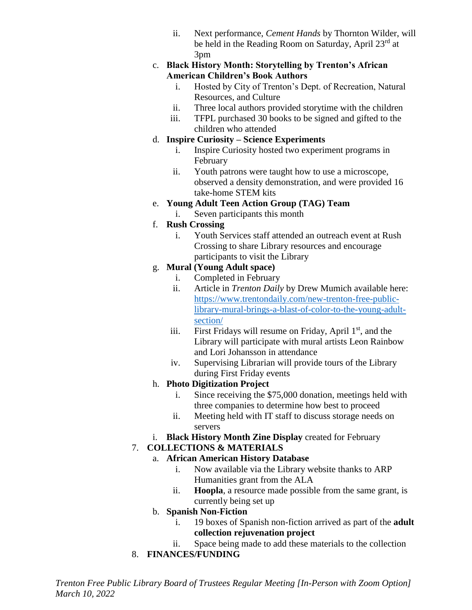ii. Next performance, *Cement Hands* by Thornton Wilder, will be held in the Reading Room on Saturday, April  $23^{\text{rd}}$  at 3pm

## c. **Black History Month: Storytelling by Trenton's African American Children's Book Authors**

- i. Hosted by City of Trenton's Dept. of Recreation, Natural Resources, and Culture
- ii. Three local authors provided storytime with the children
- iii. TFPL purchased 30 books to be signed and gifted to the children who attended

# d. **Inspire Curiosity – Science Experiments**

- i. Inspire Curiosity hosted two experiment programs in February
- ii. Youth patrons were taught how to use a microscope, observed a density demonstration, and were provided 16 take-home STEM kits
- e. **Young Adult Teen Action Group (TAG) Team**
	- i. Seven participants this month

# f. **Rush Crossing**

i. Youth Services staff attended an outreach event at Rush Crossing to share Library resources and encourage participants to visit the Library

# g. **Mural (Young Adult space)**

- i. Completed in February
- ii. Article in *Trenton Daily* by Drew Mumich available here: [https://www.trentondaily.com/new-trenton-free-public](https://gcc02.safelinks.protection.outlook.com/?url=https%3A%2F%2Fwww.trentondaily.com%2Fnew-trenton-free-public-library-mural-brings-a-blast-of-color-to-the-young-adult-section%2F&data=04%7C01%7Crkavin%40trentonnj.org%7C1d7b7181e52a4d24697908d9fb1d3507%7Cf86c5221bbd64070b19355d36a0de932%7C0%7C0%7C637816925294438023%7CUnknown%7CTWFpbGZsb3d8eyJWIjoiMC4wLjAwMDAiLCJQIjoiV2luMzIiLCJBTiI6Ik1haWwiLCJXVCI6Mn0%3D%7C3000&sdata=WcdWfdIMVLmkaw1hmAlM%2Fq1UgGoXW8c2jra3DZGqbAM%3D&reserved=0)[library-mural-brings-a-blast-of-color-to-the-young-adult](https://gcc02.safelinks.protection.outlook.com/?url=https%3A%2F%2Fwww.trentondaily.com%2Fnew-trenton-free-public-library-mural-brings-a-blast-of-color-to-the-young-adult-section%2F&data=04%7C01%7Crkavin%40trentonnj.org%7C1d7b7181e52a4d24697908d9fb1d3507%7Cf86c5221bbd64070b19355d36a0de932%7C0%7C0%7C637816925294438023%7CUnknown%7CTWFpbGZsb3d8eyJWIjoiMC4wLjAwMDAiLCJQIjoiV2luMzIiLCJBTiI6Ik1haWwiLCJXVCI6Mn0%3D%7C3000&sdata=WcdWfdIMVLmkaw1hmAlM%2Fq1UgGoXW8c2jra3DZGqbAM%3D&reserved=0)[section/](https://gcc02.safelinks.protection.outlook.com/?url=https%3A%2F%2Fwww.trentondaily.com%2Fnew-trenton-free-public-library-mural-brings-a-blast-of-color-to-the-young-adult-section%2F&data=04%7C01%7Crkavin%40trentonnj.org%7C1d7b7181e52a4d24697908d9fb1d3507%7Cf86c5221bbd64070b19355d36a0de932%7C0%7C0%7C637816925294438023%7CUnknown%7CTWFpbGZsb3d8eyJWIjoiMC4wLjAwMDAiLCJQIjoiV2luMzIiLCJBTiI6Ik1haWwiLCJXVCI6Mn0%3D%7C3000&sdata=WcdWfdIMVLmkaw1hmAlM%2Fq1UgGoXW8c2jra3DZGqbAM%3D&reserved=0)
- iii. First Fridays will resume on Friday, April  $1<sup>st</sup>$ , and the Library will participate with mural artists Leon Rainbow and Lori Johansson in attendance
- iv. Supervising Librarian will provide tours of the Library during First Friday events

# h. **Photo Digitization Project**

- i. Since receiving the \$75,000 donation, meetings held with three companies to determine how best to proceed
- ii. Meeting held with IT staff to discuss storage needs on servers
- i. **Black History Month Zine Display** created for February

# 7. **COLLECTIONS & MATERIALS**

# a. **African American History Database**

- i. Now available via the Library website thanks to ARP Humanities grant from the ALA
- ii. **Hoopla**, a resource made possible from the same grant, is currently being set up

# b. **Spanish Non-Fiction**

- i. 19 boxes of Spanish non-fiction arrived as part of the **adult collection rejuvenation project**
- ii. Space being made to add these materials to the collection
- 8. **FINANCES/FUNDING**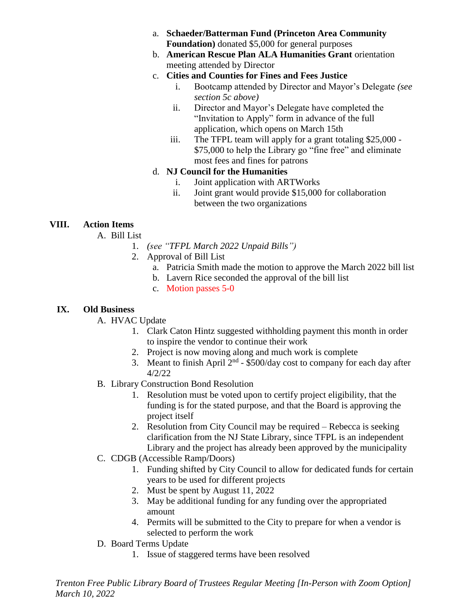- a. **Schaeder/Batterman Fund (Princeton Area Community Foundation)** donated \$5,000 for general purposes
- b. **American Rescue Plan ALA Humanities Grant** orientation meeting attended by Director

## c. **Cities and Counties for Fines and Fees Justice**

- i. Bootcamp attended by Director and Mayor's Delegate *(see section 5c above)*
- ii. Director and Mayor's Delegate have completed the "Invitation to Apply" form in advance of the full application, which opens on March 15th
- iii. The TFPL team will apply for a grant totaling \$25,000 \$75,000 to help the Library go "fine free" and eliminate most fees and fines for patrons

## d. **NJ Council for the Humanities**

- i. Joint application with ARTWorks
- ii. Joint grant would provide \$15,000 for collaboration between the two organizations

# **VIII. Action Items**

- A. Bill List
	- 1. *(see "TFPL March 2022 Unpaid Bills")*
	- 2. Approval of Bill List
		- a. Patricia Smith made the motion to approve the March 2022 bill list
		- b. Lavern Rice seconded the approval of the bill list
		- c. Motion passes 5-0

### **IX. Old Business**

- A. HVAC Update
	- 1. Clark Caton Hintz suggested withholding payment this month in order to inspire the vendor to continue their work
	- 2. Project is now moving along and much work is complete
	- 3. Meant to finish April  $2<sup>nd</sup>$  \$500/day cost to company for each day after 4/2/22
- B. Library Construction Bond Resolution
	- 1. Resolution must be voted upon to certify project eligibility, that the funding is for the stated purpose, and that the Board is approving the project itself
	- 2. Resolution from City Council may be required Rebecca is seeking clarification from the NJ State Library, since TFPL is an independent Library and the project has already been approved by the municipality
- C. CDGB (Accessible Ramp/Doors)
	- 1. Funding shifted by City Council to allow for dedicated funds for certain years to be used for different projects
	- 2. Must be spent by August 11, 2022
	- 3. May be additional funding for any funding over the appropriated amount
	- 4. Permits will be submitted to the City to prepare for when a vendor is selected to perform the work
- D. Board Terms Update
	- 1. Issue of staggered terms have been resolved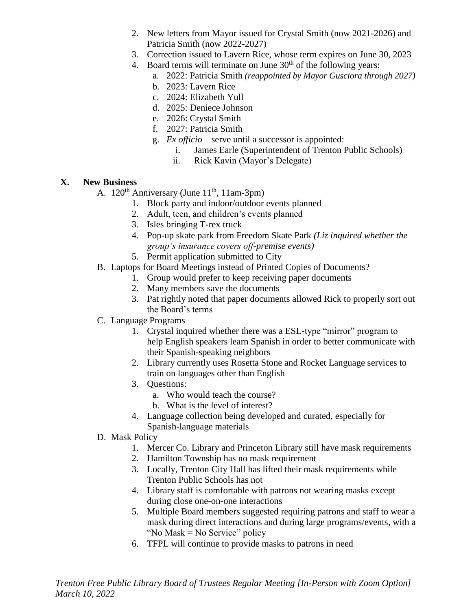- 2. New letters from Mayor issued for Crystal Smith (now 2021-2026) and Patricia Smith (now 2022-2027)
- 3. Correction issued to Lavern Rice, whose term expires on June 30, 2023
- 4. Board terms will terminate on June  $30<sup>th</sup>$  of the following years:
	- a. 2022: Patricia Smith *(reappointed by Mayor Gusciora through 2027)*
	- b. 2023: Lavern Rice
	- c. 2024: Elizabeth Yull
	- d. 2025: Deniece Johnson
	- e. 2026: Crystal Smith
	- f. 2027: Patricia Smith
	- g. *Ex officio* serve until a successor is appointed:
		- i. James Earle (Superintendent of Trenton Public Schools)
		- ii. Rick Kavin (Mayor's Delegate)

## **X. New Business**

- A.  $120^{th}$  Anniversary (June  $11^{th}$ ,  $11$ am-3pm)
	- 1. Block party and indoor/outdoor events planned
	- 2. Adult, teen, and children's events planned
	- 3. Isles bringing T-rex truck
	- 4. Pop-up skate park from Freedom Skate Park *(Liz inquired whether the group's insurance covers off-premise events)*
	- 5. Permit application submitted to City
- B. Laptops for Board Meetings instead of Printed Copies of Documents?
	- 1. Group would prefer to keep receiving paper documents
	- 2. Many members save the documents
	- 3. Pat rightly noted that paper documents allowed Rick to properly sort out the Board's terms

# C. Language Programs

- 1. Crystal inquired whether there was a ESL-type "mirror" program to help English speakers learn Spanish in order to better communicate with their Spanish-speaking neighbors
- 2. Library currently uses Rosetta Stone and Rocket Language services to train on languages other than English
- 3. Questions:
	- a. Who would teach the course?
	- b. What is the level of interest?
- 4. Language collection being developed and curated, especially for Spanish-language materials
- D. Mask Policy
	- 1. Mercer Co. Library and Princeton Library still have mask requirements
	- 2. Hamilton Township has no mask requirement
	- 3. Locally, Trenton City Hall has lifted their mask requirements while Trenton Public Schools has not
	- 4. Library staff is comfortable with patrons not wearing masks except during close one-on-one interactions
	- 5. Multiple Board members suggested requiring patrons and staff to wear a mask during direct interactions and during large programs/events, with a "No Mask = No Service" policy
	- 6. TFPL will continue to provide masks to patrons in need